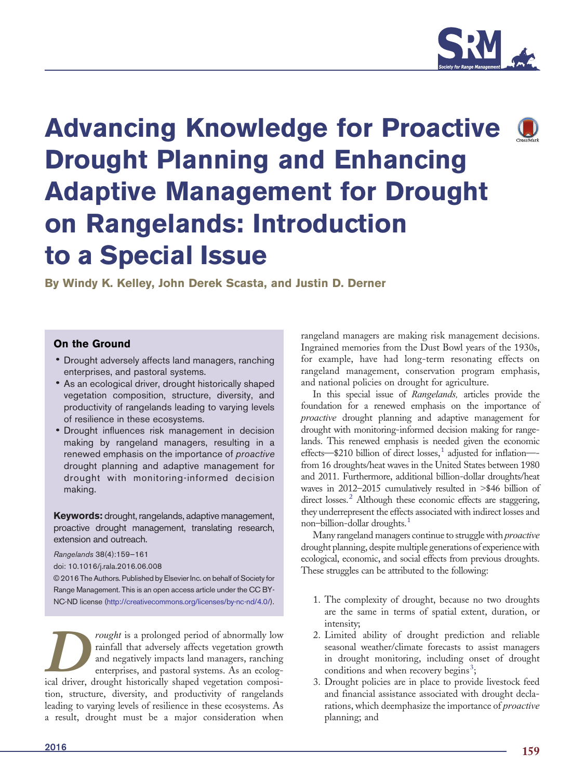

# Advancing Knowledge for Proactive Drought Planning and Enhancing Adaptive Management for Drought on Rangelands: Introduction to a Special Issue

By Windy K. Kelley, John Derek Scasta, and Justin D. Derner

# On the Ground

- Drought adversely affects land managers, ranching enterprises, and pastoral systems.
- As an ecological driver, drought historically shaped vegetation composition, structure, diversity, and productivity of rangelands leading to varying levels of resilience in these ecosystems.
- Drought influences risk management in decision making by rangeland managers, resulting in a renewed emphasis on the importance of proactive drought planning and adaptive management for drought with monitoring-informed decision making.

Keywords: drought, rangelands, adaptive management, proactive drought management, translating research, extension and outreach.

Rangelands 38(4):159—161

doi: 10.1016/j.rala.2016.06.008

© 2016 The Authors. Published by Elsevier Inc. on behalf of Society for Range Management. This is an open access article under the CC BY-NC-ND license (http://creativecommons.org/licenses/by-nc-nd/4.0/).

rought is a prolonged period of abnormally low rainfall that adversely affects vegetation growth and negatively impacts land managers, ranching enterprises, and pastoral systems. As an ecolog-Fought is a prolonged period of abnormally low rainfall that adversely affects vegetation growth and negatively impacts land managers, ranching enterprises, and pastoral systems. As an ecological driver, drought historical tion, structure, diversity, and productivity of rangelands leading to varying levels of resilience in these ecosystems. As a result, drought must be a major consideration when rangeland managers are making risk management decisions. Ingrained memories from the Dust Bowl years of the 1930s, for example, have had long-term resonating effects on rangeland management, conservation program emphasis, and national policies on drought for agriculture.

In this special issue of Rangelands, articles provide the foundation for a renewed emphasis on the importance of proactive drought planning and adaptive management for drought with monitoring-informed decision making for rangelands. This renewed emphasis is needed given the economic effects—\$210 billion of direct losses[,](#page-2-0)<sup>[1](#page-2-0)</sup> adjusted for inflation—from 16 droughts/heat waves in the United States between 1980 and 2011. Furthermore, additional billion-dollar droughts/heat waves in  $2012-2015$  cumulatively resulted in  $\geq$ \$46 billion of direct losses[.](#page-2-0) $<sup>2</sup>$  $<sup>2</sup>$  $<sup>2</sup>$  Although these economic effects are staggering,</sup> they underrepresent the effects associated with indirect losses and non-billion-dollar droughts[.](#page-2-0)<sup>[1](#page-2-0)</sup>

Many rangeland managers continue to struggle with *proactive* drought planning, despite multiple generations of experience with ecological, economic, and social effects from previous droughts. These struggles can be attributed to the following:

- 1. The complexity of drought, because no two droughts are the same in terms of spatial extent, duration, or intensity;
- 2. Limited ability of drought prediction and reliable seasonal weather/climate forecasts to assist managers in drought monitoring, including onset of drought condition[s](#page-2-0) and when recovery begins<sup>[3](#page-2-0)</sup>;
- 3. Drought policies are in place to provide livestock feed and financial assistance associated with drought declarations, which deemphasize the importance of proactive planning; and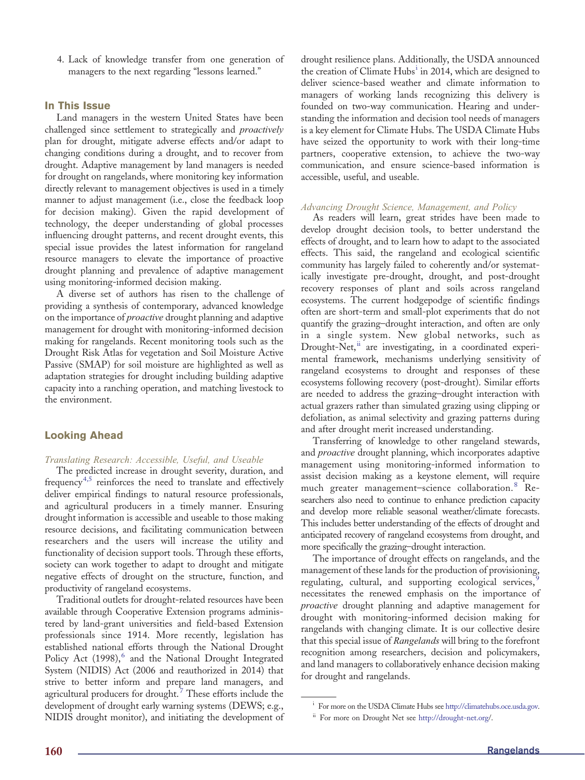4. Lack of knowledge transfer from one generation of managers to the next regarding "lessons learned."

## In This Issue

Land managers in the western United States have been challenged since settlement to strategically and *proactively* plan for drought, mitigate adverse effects and/or adapt to changing conditions during a drought, and to recover from drought. Adaptive management by land managers is needed for drought on rangelands, where monitoring key information directly relevant to management objectives is used in a timely manner to adjust management (i.e., close the feedback loop for decision making). Given the rapid development of technology, the deeper understanding of global processes influencing drought patterns, and recent drought events, this special issue provides the latest information for rangeland resource managers to elevate the importance of proactive drought planning and prevalence of adaptive management using monitoring-informed decision making.

A diverse set of authors has risen to the challenge of providing a synthesis of contemporary, advanced knowledge on the importance of *proactive* drought planning and adaptive management for drought with monitoring-informed decision making for rangelands. Recent monitoring tools such as the Drought Risk Atlas for vegetation and Soil Moisture Active Passive (SMAP) for soil moisture are highlighted as well as adaptation strategies for drought including building adaptive capacity into a ranching operation, and matching livestock to the environment.

## Looking Ahead

#### Translating Research: Accessible, Useful, and Useable

The predicted increase in drought severity, duration, and frequenc[y](#page-2-0)<sup>[4,5](#page-2-0)</sup> reinforces the need to translate and effectively deliver empirical findings to natural resource professionals, and agricultural producers in a timely manner. Ensuring drought information is accessible and useable to those making resource decisions, and facilitating communication between researchers and the users will increase the utility and functionality of decision support tools. Through these efforts, society can work together to adapt to drought and mitigate negative effects of drought on the structure, function, and productivity of rangeland ecosystems.

Traditional outlets for drought-related resources have been available through Cooperative Extension programs administered by land-grant universities and field-based Extension professionals since 1914. More recently, legislation has established national efforts through the National Drought Policy Act (1998)[,](#page-2-0)<sup>[6](#page-2-0)</sup> and the National Drought Integrated System (NIDIS) Act (2006 and reauthorized in 2014) that strive to better inform and prepare land managers, and agricultural producers for drought[.](#page-2-0)<sup>[7](#page-2-0)</sup> These efforts include the development of drought early warning systems (DEWS; e.g., NIDIS drought monitor), and initiating the development of

drought resilience plans. Additionally, the USDA announced the creation of Climate Hubs<sup>i</sup> in 2014, which are designed to deliver science-based weather and climate information to managers of working lands recognizing this delivery is founded on two-way communication. Hearing and understanding the information and decision tool needs of managers is a key element for Climate Hubs. The USDA Climate Hubs have seized the opportunity to work with their long-time partners, cooperative extension, to achieve the two-way communication, and ensure science-based information is accessible, useful, and useable.

#### Advancing Drought Science, Management, and Policy

As readers will learn, great strides have been made to develop drought decision tools, to better understand the effects of drought, and to learn how to adapt to the associated effects. This said, the rangeland and ecological scientific community has largely failed to coherently and/or systematically investigate pre-drought, drought, and post-drought recovery responses of plant and soils across rangeland ecosystems. The current hodgepodge of scientific findings often are short-term and small-plot experiments that do not quantify the grazing–drought interaction, and often are only in a single system. New global networks, such as Drought-Net,<sup>ii</sup> are investigating, in a coordinated experimental framework, mechanisms underlying sensitivity of rangeland ecosystems to drought and responses of these ecosystems following recovery (post-drought). Similar efforts are needed to address the grazing–drought interaction with actual grazers rather than simulated grazing using clipping or defoliation, as animal selectivity and grazing patterns during and after drought merit increased understanding.

Transferring of knowledge to other rangeland stewards, and proactive drought planning, which incorporates adaptive management using monitoring-informed information to assist decision making as a keystone element, will require much greater management–science collaboration[.](#page-2-0)<sup>[8](#page-2-0)</sup> Researchers also need to continue to enhance prediction capacity and develop more reliable seasonal weather/climate forecasts. This includes better understanding of the effects of drought and anticipated recovery of rangeland ecosystems from drought, and more specifically the grazing–drought interaction.

The importance of drought effects on rangelands, and the management of these lands for the production of provisioning, regulating[,](#page-2-0) cultural, and supporting ecological services, necessitates the renewed emphasis on the importance of proactive drought planning and adaptive management for drought with monitoring-informed decision making for rangelands with changing climate. It is our collective desire that this special issue of Rangelands will bring to the forefront recognition among researchers, decision and policymakers, and land managers to collaboratively enhance decision making for drought and rangelands.

<sup>&</sup>lt;sup>i</sup> For more on the USDA Climate Hubs see [http://climatehubs.oce.usda.gov.](http://climatehubs.oce.usda.gov)

ii For more on Drought Net see [http://drought-net.org/](http://drought-net.org).